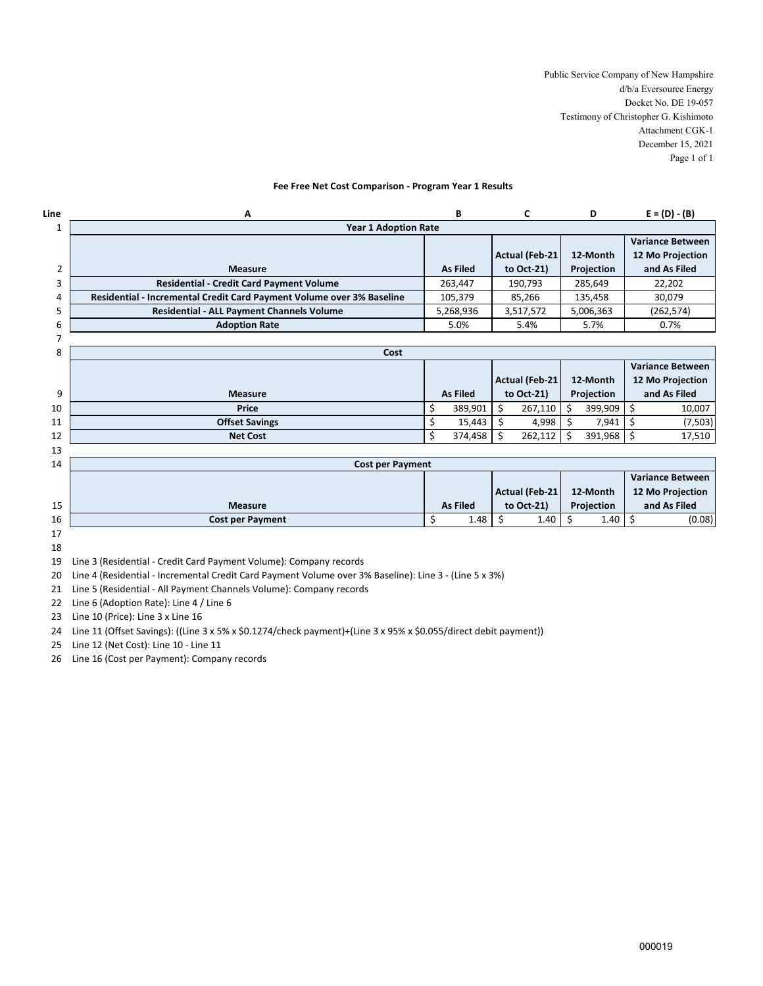Public Service Company of New Hampshire d/b/a Eversource Energy Docket No. DE 19-057 Testimony of Christopher G. Kishimoto Attachment CGK-1 December 15, 2021 Page 1 of 1

## **Fee Free Net Cost Comparison - Program Year 1 Results**

| Line | A                                                                     | В         |                 | D          | $E = (D) - (B)$         |  |  |  |  |  |  |
|------|-----------------------------------------------------------------------|-----------|-----------------|------------|-------------------------|--|--|--|--|--|--|
|      | <b>Year 1 Adoption Rate</b>                                           |           |                 |            |                         |  |  |  |  |  |  |
|      |                                                                       |           |                 |            | <b>Variance Between</b> |  |  |  |  |  |  |
|      |                                                                       |           | Actual (Feb-21) | 12-Month   | 12 Mo Projection        |  |  |  |  |  |  |
|      | <b>Measure</b>                                                        | As Filed  | to Oct-21)      | Projection | and As Filed            |  |  |  |  |  |  |
|      | <b>Residential - Credit Card Payment Volume</b>                       | 263,447   | 190,793         | 285,649    | 22,202                  |  |  |  |  |  |  |
|      | Residential - Incremental Credit Card Payment Volume over 3% Baseline | 105,379   | 85,266          | 135,458    | 30.079                  |  |  |  |  |  |  |
|      | <b>Residential - ALL Payment Channels Volume</b>                      | 5,268,936 | 3,517,572       | 5,006,363  | (262, 574)              |  |  |  |  |  |  |
| 6    | <b>Adoption Rate</b>                                                  | 5.0%      | 5.4%            | 5.7%       | 0.7%                    |  |  |  |  |  |  |
|      |                                                                       |           |                 |            |                         |  |  |  |  |  |  |

| 8  | Cost                  |  |                 |            |                |            |          |                         |                  |  |
|----|-----------------------|--|-----------------|------------|----------------|------------|----------|-------------------------|------------------|--|
|    |                       |  |                 |            |                |            |          | <b>Variance Between</b> |                  |  |
|    |                       |  |                 |            | Actual (Feb-21 |            | 12-Month |                         | 12 Mo Projection |  |
| 9  | <b>Measure</b>        |  | <b>As Filed</b> | to Oct-21) |                | Projection |          | and As Filed            |                  |  |
| 10 | <b>Price</b>          |  | 389,901         |            | 267,110        | S.         | 399,909  |                         | 10,007           |  |
| 11 | <b>Offset Savings</b> |  | 15,443          |            | 4,998          |            | 7,941    |                         | (7, 503)         |  |
| 12 | <b>Net Cost</b>       |  | 374,458         |            | 262,112        |            | 391,968  |                         | 17,510           |  |
| 13 |                       |  |                 |            |                |            |          |                         |                  |  |

| 14 | <b>Cost per Payment</b> |                 |                |      |            |      |                         |                  |
|----|-------------------------|-----------------|----------------|------|------------|------|-------------------------|------------------|
|    |                         |                 |                |      |            |      |                         | Variance Between |
|    |                         |                 | Actual (Feb-21 |      | 12-Month   |      | <b>12 Mo Projection</b> |                  |
| 15 | <b>Measure</b>          | <b>As Filed</b> | to Oct-21)     |      | Projection |      | and As Filed            |                  |
| 16 | <b>Cost per Payment</b> | 1.48            |                | 1.40 |            | 1.40 |                         | (0.08)           |
| 17 |                         |                 |                |      |            |      |                         |                  |

18

19 Line 3 (Residential - Credit Card Payment Volume): Company records

20 Line 4 (Residential - Incremental Credit Card Payment Volume over 3% Baseline): Line 3 - (Line 5 x 3%)

21 Line 5 (Residential - All Payment Channels Volume): Company records

22 Line 6 (Adoption Rate): Line 4 / Line 6

23 Line 10 (Price): Line 3 x Line 16

24 Line 11 (Offset Savings): ((Line 3 x 5% x \$0.1274/check payment)+(Line 3 x 95% x \$0.055/direct debit payment))

25 Line 12 (Net Cost): Line 10 - Line 11

26 Line 16 (Cost per Payment): Company records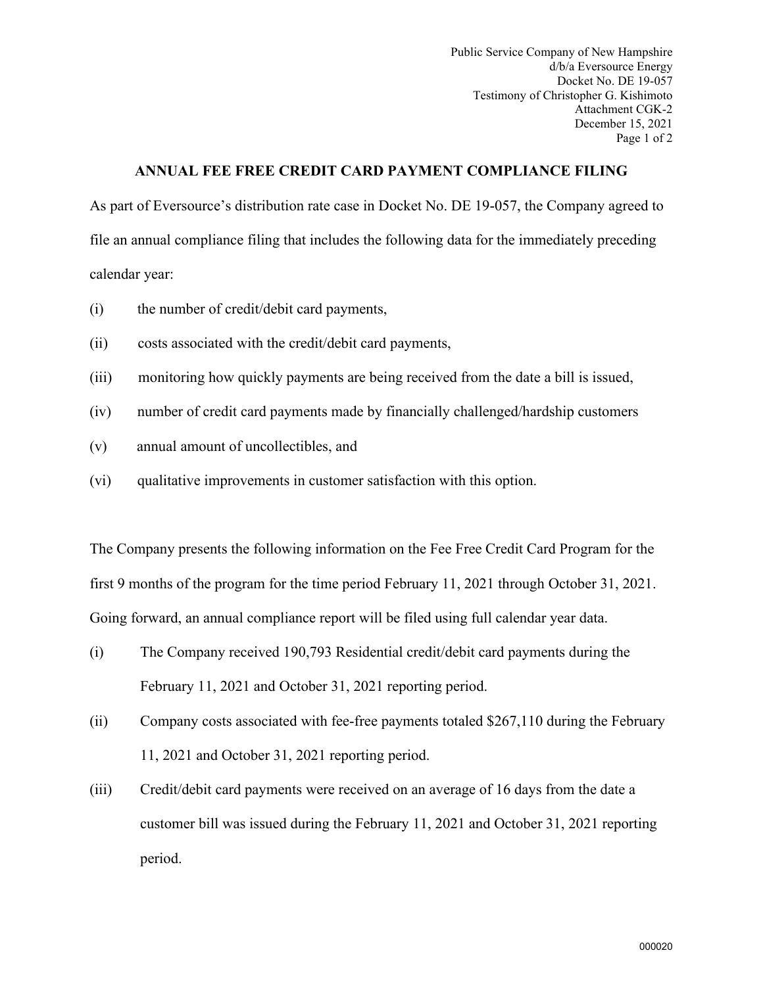Public Service Company of New Hampshire d/b/a Eversource Energy Docket No. DE 19-057 Testimony of Christopher G. Kishimoto Attachment CGK-2 December 15, 2021 Page 1 of 2

## **ANNUAL FEE FREE CREDIT CARD PAYMENT COMPLIANCE FILING**

As part of Eversource's distribution rate case in Docket No. DE 19-057, the Company agreed to file an annual compliance filing that includes the following data for the immediately preceding calendar year:

- (i) the number of credit/debit card payments,
- (ii) costs associated with the credit/debit card payments,
- (iii) monitoring how quickly payments are being received from the date a bill is issued,
- (iv) number of credit card payments made by financially challenged/hardship customers
- (v) annual amount of uncollectibles, and
- (vi) qualitative improvements in customer satisfaction with this option.

The Company presents the following information on the Fee Free Credit Card Program for the first 9 months of the program for the time period February 11, 2021 through October 31, 2021. Going forward, an annual compliance report will be filed using full calendar year data.

- (i) The Company received 190,793 Residential credit/debit card payments during the February 11, 2021 and October 31, 2021 reporting period.
- (ii) Company costs associated with fee-free payments totaled \$267,110 during the February 11, 2021 and October 31, 2021 reporting period.
- (iii) Credit/debit card payments were received on an average of 16 days from the date a customer bill was issued during the February 11, 2021 and October 31, 2021 reporting period.